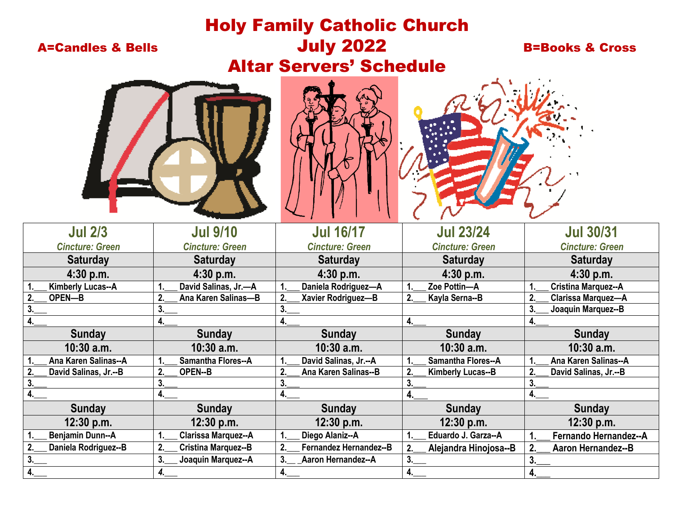| <b>Holy Family Catholic Church</b> |                                  |                                        |                                  |                                 |  |  |  |  |
|------------------------------------|----------------------------------|----------------------------------------|----------------------------------|---------------------------------|--|--|--|--|
| <b>A=Candles &amp; Bells</b>       |                                  | <b>July 2022</b>                       |                                  | <b>B=Books &amp; Cross</b>      |  |  |  |  |
|                                    |                                  |                                        |                                  |                                 |  |  |  |  |
| <b>Altar Servers' Schedule</b>     |                                  |                                        |                                  |                                 |  |  |  |  |
|                                    |                                  |                                        |                                  |                                 |  |  |  |  |
| <b>Jul 2/3</b>                     | <b>Jul 9/10</b>                  | <b>Jul 16/17</b>                       | <b>Jul 23/24</b>                 | <b>Jul 30/31</b>                |  |  |  |  |
| <b>Cincture: Green</b>             | <b>Cincture: Green</b>           | <b>Cincture: Green</b>                 | <b>Cincture: Green</b>           | <b>Cincture: Green</b>          |  |  |  |  |
| <b>Saturday</b>                    | <b>Saturday</b>                  | <b>Saturday</b>                        | <b>Saturday</b>                  | <b>Saturday</b>                 |  |  |  |  |
| 4:30 p.m.                          | 4:30 p.m.                        | $4:30$ p.m.                            | 4:30 p.m.                        | 4:30 p.m.                       |  |  |  |  |
| <b>Kimberly Lucas--A</b>           | David Salinas, Jr.-A<br>1        | Daniela Rodriguez-A                    | Zoe Pottin-A                     | Cristina Marquez--A             |  |  |  |  |
| 2.<br>OPEN-B                       | 2.<br>Ana Karen Salinas-B        | 2.<br>Xavier Rodriguez-B               | 2 <sub>1</sub><br>Kayla Serna--B | 2.<br><b>Clarissa Marquez-A</b> |  |  |  |  |
|                                    | 3.                               | 3.                                     |                                  | 3.<br>Joaquin Marquez--B        |  |  |  |  |
|                                    | 4.                               |                                        | 4.                               | 4.                              |  |  |  |  |
| <b>Sunday</b>                      | <b>Sunday</b>                    | <b>Sunday</b>                          | <b>Sunday</b>                    | <b>Sunday</b>                   |  |  |  |  |
| $10:30$ a.m.                       | $10:30$ a.m.                     | $10:30$ a.m.                           | $10:30$ a.m.                     | $10:30$ a.m.                    |  |  |  |  |
| Ana Karen Salinas--A               | <b>Samantha Flores--A</b><br>1.  | David Salinas, Jr.--A                  | <b>Samantha Flores--A</b>        | Ana Karen Salinas--A            |  |  |  |  |
| 2.<br>David Salinas, Jr.--B        | 2.<br><b>OPEN--B</b>             | 2.<br>Ana Karen Salinas--B             | 2.<br><b>Kimberly Lucas--B</b>   | 2.<br>David Salinas, Jr.--B     |  |  |  |  |
| 3 <sub>1</sub>                     | 3.                               | 3.                                     | 3.                               |                                 |  |  |  |  |
| 4.                                 | 4.                               |                                        | 4.                               | 4.                              |  |  |  |  |
| <b>Sunday</b>                      | <b>Sunday</b>                    | <b>Sunday</b>                          | <b>Sunday</b>                    | <b>Sunday</b>                   |  |  |  |  |
| 12:30 p.m.                         | 12:30 p.m.                       | 12:30 p.m.                             | 12:30 p.m.                       | 12:30 p.m.                      |  |  |  |  |
| <b>Benjamin Dunn--A</b>            | Clarissa Marquez--A<br>1.        | Diego Alaniz--A                        | Eduardo J. Garza--A<br>1.        | Fernando Hernandez--A<br>1.     |  |  |  |  |
| Daniela Rodriguez--B<br>2.         | 2.<br><b>Cristina Marquez--B</b> | Fernandez Hernandez--B<br>$\mathbf{2}$ | 2.<br>Alejandra Hinojosa--B      | 2.<br><b>Aaron Hernandez--B</b> |  |  |  |  |
| 3.                                 | 3.<br>Joaquin Marquez--A         | <b>Aaron Hernandez--A</b><br>3.        | 3.                               | 3.                              |  |  |  |  |
| 4.                                 | 4.                               | 4.                                     | 4.                               | 4.                              |  |  |  |  |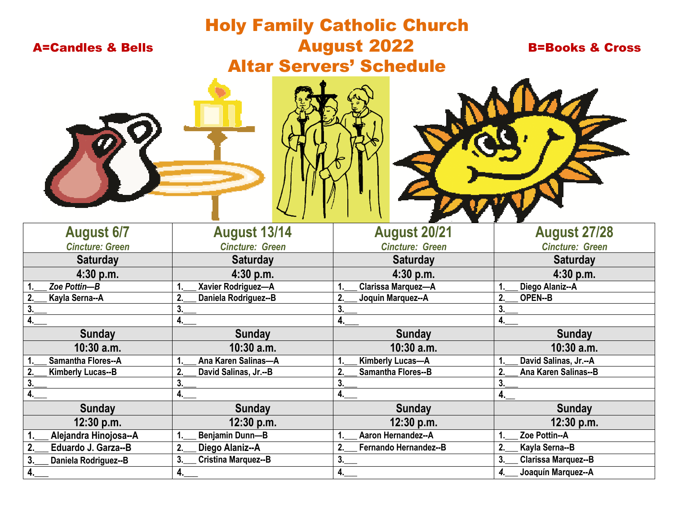# Holy Family Catholic Church A=Candles & Bells **August 2022** B=Books & Cross Altar Servers' Schedule





| <b>August 6/7</b>         | <b>August 13/14</b>         | <b>August 20/21</b>         | <b>August 27/28</b>        |
|---------------------------|-----------------------------|-----------------------------|----------------------------|
| <b>Cincture: Green</b>    | <b>Cincture: Green</b>      | <b>Cincture: Green</b>      | <b>Cincture: Green</b>     |
| <b>Saturday</b>           | <b>Saturday</b>             | <b>Saturday</b>             | <b>Saturday</b>            |
| 4:30 p.m.                 | $4:30$ p.m.                 | 4:30 p.m.                   | $4:30$ p.m.                |
| Zoe Pottin-B              | Xavier Rodriguez-A          | <b>Clarissa Marquez-A</b>   | Diego Alaniz--A            |
| Kayla Serna--A            | 2.<br>Daniela Rodriguez--B  | Joquin Marquez--A           | 2.<br><b>OPEN--B</b>       |
|                           | 3.                          |                             | 3.                         |
|                           | 4.                          |                             | 4.                         |
| <b>Sunday</b>             | <b>Sunday</b>               | <b>Sunday</b>               | <b>Sunday</b>              |
| $10:30$ a.m.              | $10:30$ a.m.                | $10:30$ a.m.                | $10:30$ a.m.               |
| <b>Samantha Flores--A</b> | Ana Karen Salinas-A         | Kimberly Lucas-A            | David Salinas, Jr.--A      |
| <b>Kimberly Lucas--B</b>  | David Salinas, Jr.--B<br>2. | Samantha Flores--B          | Ana Karen Salinas--B<br>2. |
|                           |                             |                             |                            |
|                           | 4.                          | 4.                          | 4.                         |
| <b>Sunday</b>             | <b>Sunday</b>               | <b>Sunday</b>               | <b>Sunday</b>              |
| 12:30 p.m.                | 12:30 p.m.                  | 12:30 p.m.                  | 12:30 p.m.                 |
| Alejandra Hinojosa--A     | Benjamin Dunn-B             | Aaron Hernandez--A          | Zoe Pottin--A              |
| Eduardo J. Garza--B       | Diego Alaniz--A<br>2.       | Fernando Hernandez--B<br>2. | 2.<br>Kayla Serna--B       |
| Daniela Rodriguez--B      | 3.<br>Cristina Marquez--B   | 3.                          | 3.<br>Clarissa Marquez--B  |
|                           | 4.                          | 4.                          | Joaquín Marquez--A<br>4.   |